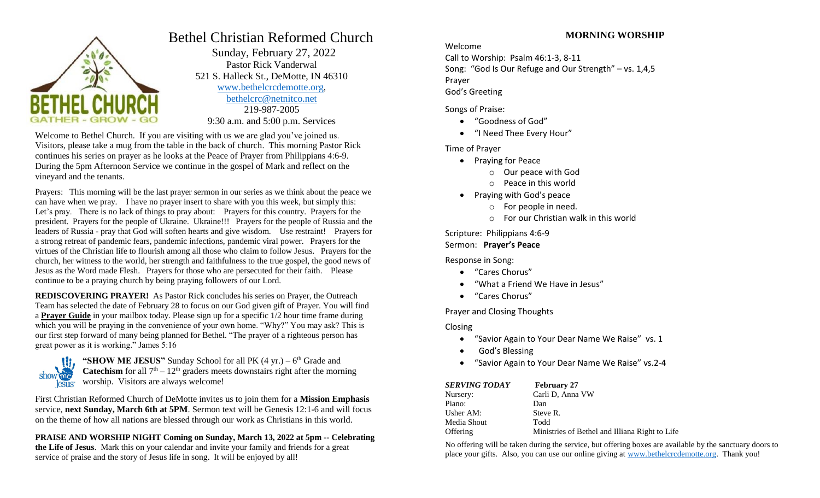

# Bethel Christian Reformed Church

 Sunday, February 27, 2022 Pastor Rick Vanderwal 521 S. Halleck St., DeMotte, IN 46310 [www.bethelcrcdemotte.org,](http://www.bethelcrcdemotte.org/) [bethelcrc@netnitco.net](mailto:bethelcrc@netnitco.net) 219-987-2005 9:30 a.m. and 5:00 p.m. Services

Welcome to Bethel Church. If you are visiting with us we are glad you've joined us. Visitors, please take a mug from the table in the back of church. This morning Pastor Rick continues his series on prayer as he looks at the Peace of Prayer from Philippians 4:6-9. During the 5pm Afternoon Service we continue in the gospel of Mark and reflect on the vineyard and the tenants.

Prayers: This morning will be the last prayer sermon in our series as we think about the peace we can have when we pray. I have no prayer insert to share with you this week, but simply this: Let's pray. There is no lack of things to pray about: Prayers for this country. Prayers for the president. Prayers for the people of Ukraine. Ukraine!!! Prayers for the people of Russia and the leaders of Russia - pray that God will soften hearts and give wisdom. Use restraint! Prayers for a strong retreat of pandemic fears, pandemic infections, pandemic viral power. Prayers for the virtues of the Christian life to flourish among all those who claim to follow Jesus. Prayers for the church, her witness to the world, her strength and faithfulness to the true gospel, the good news of Jesus as the Word made Flesh. Prayers for those who are persecuted for their faith. Please continue to be a praying church by being praying followers of our Lord.

**REDISCOVERING PRAYER!** As Pastor Rick concludes his series on Prayer, the Outreach Team has selected the date of February 28 to focus on our God given gift of Prayer. You will find a **Prayer Guide** in your mailbox today. Please sign up for a specific 1/2 hour time frame during which you will be praying in the convenience of your own home. "Why?" You may ask? This is our first step forward of many being planned for Bethel. "The prayer of a righteous person has great power as it is working." James 5:16



"SHOW ME JESUS" Sunday School for all PK  $(4 \text{ yr.}) - 6^{\text{th}}$  Grade and **Catechism** for all  $7<sup>th</sup> - 12<sup>th</sup>$  graders meets downstairs right after the morning worship. Visitors are always welcome!

First Christian Reformed Church of DeMotte invites us to join them for a **Mission Emphasis** service, **next Sunday, March 6th at 5PM**. Sermon text will be Genesis 12:1-6 and will focus on the theme of how all nations are blessed through our work as Christians in this world.

**PRAISE AND WORSHIP NIGHT Coming on Sunday, March 13, 2022 at 5pm -- Celebrating the Life of Jesus**. Mark this on your calendar and invite your family and friends for a great service of praise and the story of Jesus life in song. It will be enjoyed by all!

# **MORNING WORSHIP**

Welcome

Call to Worship: Psalm 46:1-3, 8-11 Song: "God Is Our Refuge and Our Strength" – vs. 1,4,5 Prayer God's Greeting

Songs of Praise:

- "Goodness of God"
- "I Need Thee Every Hour"

Time of Prayer

- Praying for Peace
	- o Our peace with God
	- o Peace in this world
- Praying with God's peace
	- o For people in need.
	- o For our Christian walk in this world

Scripture: Philippians 4:6-9 Sermon: **Prayer's Peace**

Response in Song:

- "Cares Chorus"
- "What a Friend We Have in Jesus"
- "Cares Chorus"

Prayer and Closing Thoughts

Closing

- "Savior Again to Your Dear Name We Raise" vs. 1
- God's Blessing
- "Savior Again to Your Dear Name We Raise" vs.2-4

| <b>SERVING TODAY</b> | <b>February 27</b>                             |
|----------------------|------------------------------------------------|
| Nursery:             | Carli D, Anna VW                               |
| Piano:               | Dan                                            |
| Usher AM:            | Steve R.                                       |
| Media Shout          | Todd                                           |
| Offering             | Ministries of Bethel and Illiana Right to Life |

No offering will be taken during the service, but offering boxes are available by the sanctuary doors to place your gifts. Also, you can use our online giving at [www.bethelcrcdemotte.org.](http://www.bethelcrcdemotte.org/) Thank you!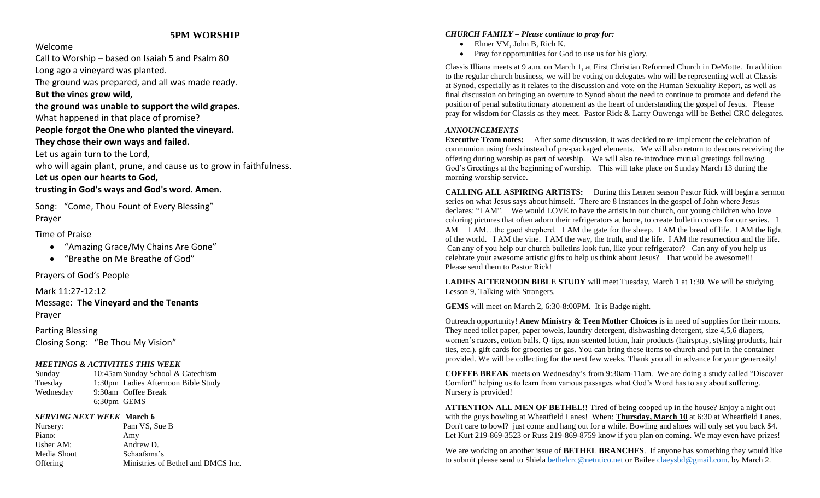# **5PM WORSHIP**

#### Welcome

Call to Worship – based on Isaiah 5 and Psalm 80

Long ago a vineyard was planted.

The ground was prepared, and all was made ready.

# **But the vines grew wild,**

**the ground was unable to support the wild grapes.**

What happened in that place of promise?

**People forgot the One who planted the vineyard.**

**They chose their own ways and failed.**

Let us again turn to the Lord,

who will again plant, prune, and cause us to grow in faithfulness .

**Let us open our hearts to God, trusting in God's ways and God's word. Amen.**

Song: "Come , Thou Fount of Every Blessing " Prayer

# Time of Praise

- "Amazing Grace/My Chains Are Gone "
- $\bullet$ "Breathe on Me Breathe of God "

Prayers of God's People

Mark 11:27 -12:12 Message: **The Vineyard and the Tenants** Prayer

Parting Blessing Closing Song: "Be Thou My Vision "

# *MEETINGS & ACTIVITIES THIS WEEK*

Sunday 10:45amSunday School & Catechism Tuesday 1:30pm Ladies Afternoon Bible Study Wednesday 9:30am Coffee Break 6:30pm GEMS

# *SERVING NEXT WEEK* **March 6**

Nursery: Pam VS, Sue B Piano: Amy Usher AM: Andrew D. Media Shout Schaafsma's Offering Ministries of Bethel and DMCS Inc.

#### *CHURCH FAMILY – Please continue to pray for:*

- Elmer VM, John B, Rich K.
- Pray for opportunities for God to use us for his glory.

Classis Illiana meets at 9 a.m. on March 1, at First Christian Reformed Church in DeMotte. In addition to the regular church business, we will be voting on delegates who will be representing well at Classis at Synod, especially as it relates to the discussion and vote on the Human Sexuality Report, as well as final discussion on bringing an overture to Synod about the need to continue to promote and defend the position of penal substitutionary atonement as the heart of understanding the gospel of Jesus. Please pray for wisdom for Classis as they meet. Pastor Rick & Larry Ouwenga will be Bethel CRC delegates .

#### *ANNOUNCEMENTS*

**Executive Team notes:** After some discussion, it was decided to re-implement the celebration of communion using fresh instead of pre -packaged elements. We will also return to deacons receiving the offering during worship as part of worship. We will also re -introduce mutual greetings following God's Greetings at the beginning of worship. This will take place on Sunday March 13 during the morning worship service.

**CALLING ALL ASPIRING ARTISTS:** During this Lenten season Pastor Rick will begin a sermon series on what Jesus says about himself. There are 8 instances in the gospel of John where Jesus declares: "I AM". We would LOVE to have the artists in our church, our young children who love coloring pictures that often adorn their refrigerators at home, to create bulletin covers for our series. I AM I AM…the good shepherd. I AM the gate for the sheep. I AM the bread of life. I AM the light of the world. I AM the vine. I AM the way, the truth, and the life. I AM the resurrection and the life. Can any of you help our church bulletins look fun, like your refrigerator? Can any of you help us celebrate your awesome artistic gifts to help us think about Jesus? That would be awesome!!! Please send them to Pastor Rick!

**LADIES AFTERNOON BIBLE STUDY** will meet Tuesday, March 1 at 1:30. We will be studying Lesson 9, Talking with Strangers.

GEMS will meet on March 2, 6:30-8:00PM. It is Badge night.

Outreach opportunity! **Anew Ministry & Teen Mother Choices** is in need of supplies for their moms . They need toilet paper, paper towels, laundry detergent, dishwashing detergent, size 4,5,6 diapers, women's razors, cotton balls, Q -tips, non -scented lotion, hair products (hairspray, styling products, hair ties, etc.), gift cards for groceries or gas. You can bring these items to church and put in the container provided. We will be collecting for the next few weeks. Thank you all in advance for your generosity!

**COFFEE BREAK** meets on Wednesday's from 9:30am -11am. We are doing a study called "Discover Comfort" helping us to learn from various passages what God's Word has to say about suffering. Nursery is provided!

**ATTENTION ALL MEN OF BETHEL!!** Tired of being cooped up in the house? Enjoy a night out with the guys bowling at Wheatfield Lanes! When: **Thursday , March 10** at 6:30 at Wheatfield Lanes. Don't care to bowl? just come and hang out for a while. Bowling and shoes will only set you back \$4. Let Kurt 219-869-3523 or Russ 219-869-8759 know if you plan on coming. We may even have prizes!

We are working on another issue of **BETHEL BRANCHES**. If anyone has something they would like to submit please send to Shiela **bethelcrc@netntico.net** or Bailee **[claeysbd@gmail.com](mailto:claeysbd@gmail.com)**. by March 2.